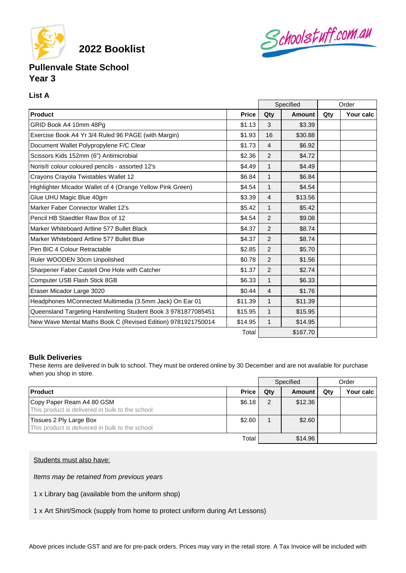

**2022 Booklist**

# Schoolstuff.com.au

# **Pullenvale State School Year 3**

## **List A**

|                                                               |              | Specified      |               | Order |           |
|---------------------------------------------------------------|--------------|----------------|---------------|-------|-----------|
| Product                                                       | <b>Price</b> | Qty            | <b>Amount</b> | Qty   | Your calc |
| GRID Book A4 10mm 48Pg                                        | \$1.13       | 3              | \$3.39        |       |           |
| Exercise Book A4 Yr 3/4 Ruled 96 PAGE (with Margin)           | \$1.93       | 16             | \$30.88       |       |           |
| Document Wallet Polypropylene F/C Clear                       | \$1.73       | $\overline{4}$ | \$6.92        |       |           |
| Scissors Kids 152mm (6") Antimicrobial                        | \$2.36       | $\overline{2}$ | \$4.72        |       |           |
| Noris® colour coloured pencils - assorted 12's                | \$4.49       | 1              | \$4.49        |       |           |
| Crayons Crayola Twistables Wallet 12                          | \$6.84       | $\mathbf{1}$   | \$6.84        |       |           |
| Highlighter Micador Wallet of 4 (Orange Yellow Pink Green)    | \$4.54       | 1              | \$4.54        |       |           |
| Glue UHU Magic Blue 40gm                                      | \$3.39       | $\overline{4}$ | \$13.56       |       |           |
| Marker Faber Connector Wallet 12's                            | \$5.42       | $\mathbf{1}$   | \$5.42        |       |           |
| Pencil HB Staedtler Raw Box of 12                             | \$4.54       | $\overline{2}$ | \$9.08        |       |           |
| Marker Whiteboard Artline 577 Bullet Black                    | \$4.37       | $\overline{2}$ | \$8.74        |       |           |
| Marker Whiteboard Artline 577 Bullet Blue                     | \$4.37       | 2              | \$8.74        |       |           |
| Pen BIC 4 Colour Retractable                                  | \$2.85       | $\overline{2}$ | \$5.70        |       |           |
| Ruler WOODEN 30cm Unpolished                                  | \$0.78       | $\overline{2}$ | \$1.56        |       |           |
| Sharpener Faber Castell One Hole with Catcher                 | \$1.37       | $\overline{2}$ | \$2.74        |       |           |
| Computer USB Flash Stick 8GB                                  | \$6.33       | $\mathbf{1}$   | \$6.33        |       |           |
| Eraser Micador Large 3020                                     | \$0.44       | $\overline{4}$ | \$1.76        |       |           |
| Headphones MConnected Multimedia (3.5mm Jack) On Ear 01       | \$11.39      | 1              | \$11.39       |       |           |
| Queensland Targeting Handwriting Student Book 3 9781877085451 | \$15.95      | $\mathbf{1}$   | \$15.95       |       |           |
| New Wave Mental Maths Book C (Revised Edition) 9781921750014  | \$14.95      | $\mathbf{1}$   | \$14.95       |       |           |
|                                                               | Total        | \$167.70       |               |       |           |

### **Bulk Deliveries**

These items are delivered in bulk to school. They must be ordered online by 30 December and are not available for purchase when you shop in store.

|                                                                              |              | Specified |               | Order |           |
|------------------------------------------------------------------------------|--------------|-----------|---------------|-------|-----------|
| <b>Product</b>                                                               | <b>Price</b> | Qty       | <b>Amount</b> | Qty   | Your calc |
| Copy Paper Ream A4 80 GSM<br>This product is delivered in bulk to the school | \$6.18       | 2         | \$12.36       |       |           |
| Tissues 2 Ply Large Box<br>This product is delivered in bulk to the school   | \$2.60       |           | \$2.60        |       |           |
|                                                                              | Total        |           | \$14.96       |       |           |

Students must also have:

Items may be retained from previous years

1 x Library bag (available from the uniform shop)

### 1 x Art Shirt/Smock (supply from home to protect uniform during Art Lessons)